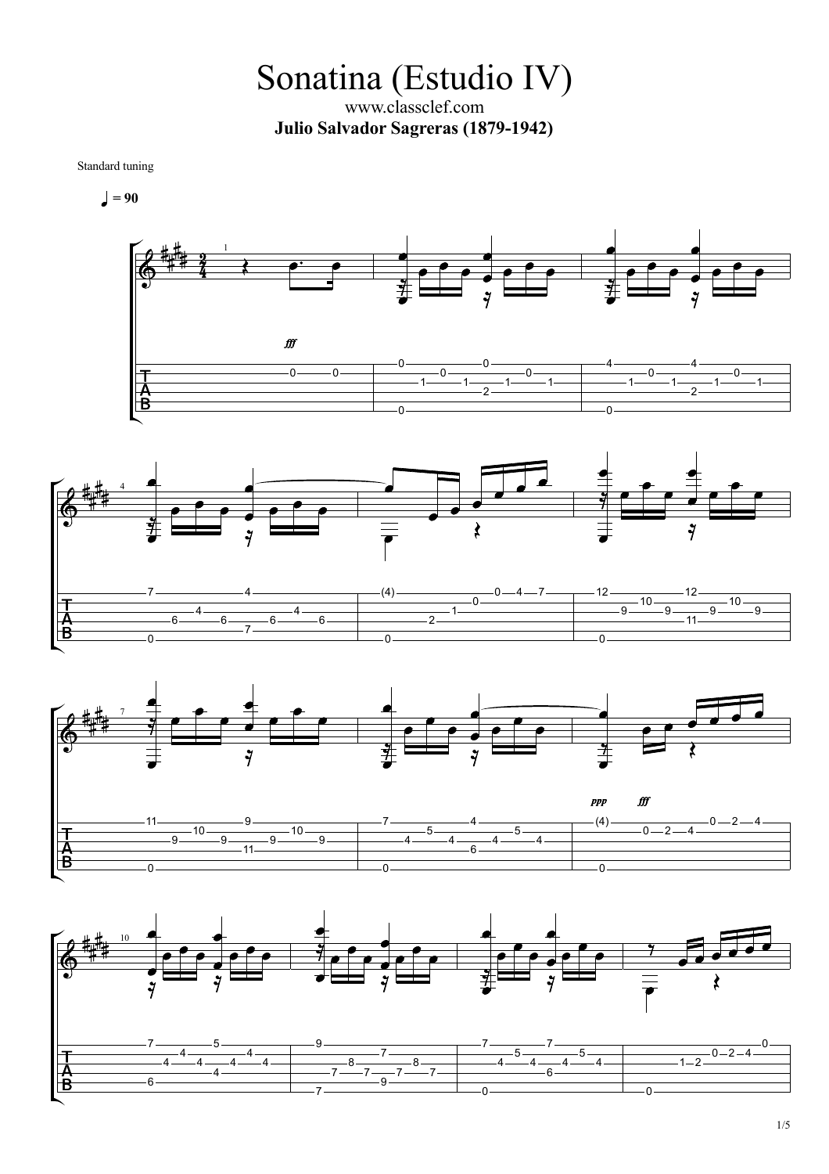Sonatina (Estudio IV) www.classclef.com **Julio Salvador Sagreras (1879-1942)**

Standard tuning

 $= 90$ 









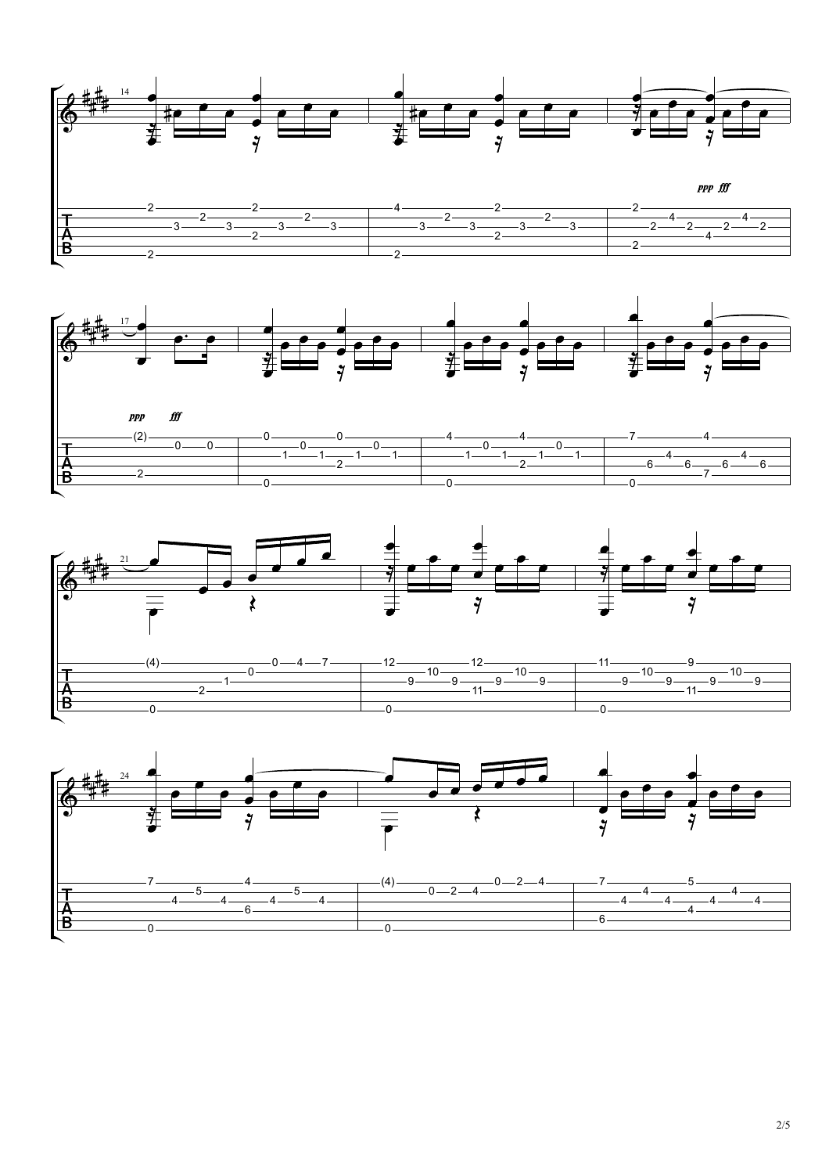





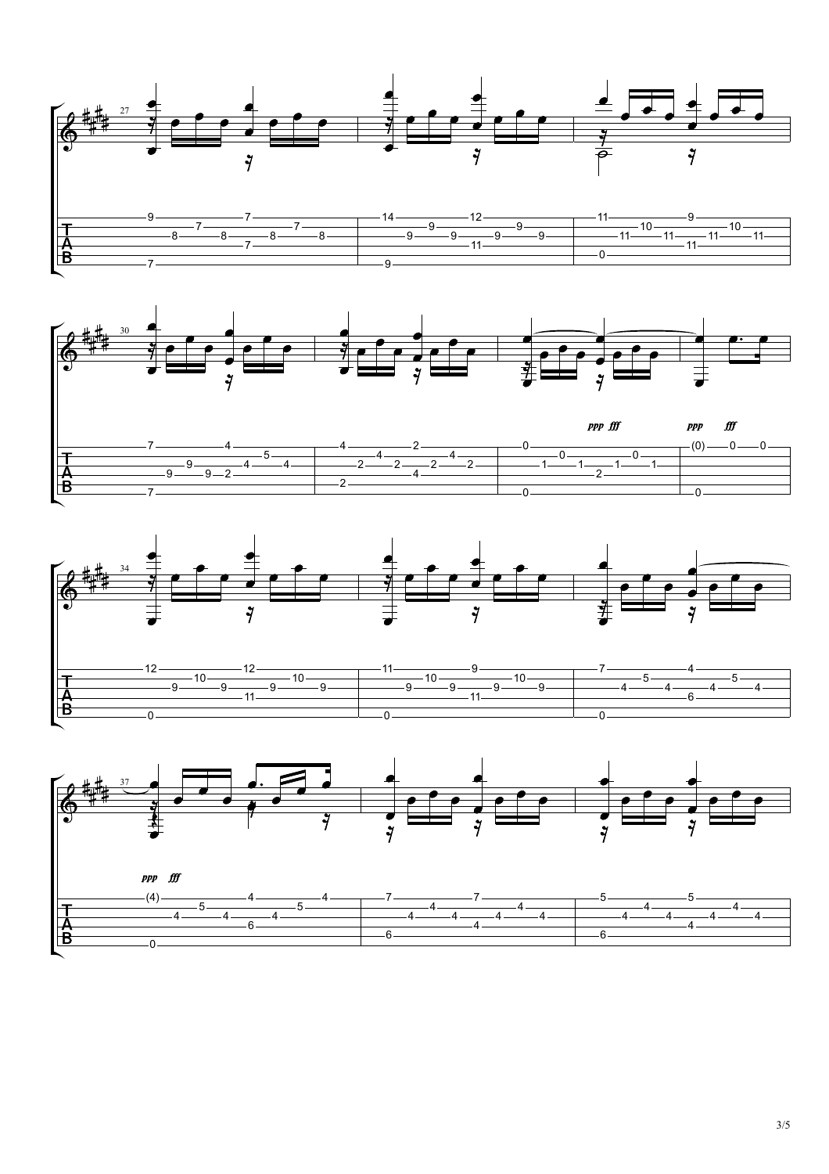



 $\begin{array}{c} \hline \rule{0mm}{2mm} \rule[0mm]{0mm}{2mm} \rule[0mm]{0mm}{2mm} \rule[0mm]{0mm}{2mm} \rule[0mm]{0mm}{2mm} \rule[0mm]{0mm}{2mm} \rule[0mm]{0mm}{2mm} \rule[0mm]{0mm}{2mm} \rule[0mm]{0mm}{2mm} \rule[0mm]{0mm}{2mm} \rule[0mm]{0mm}{2mm} \rule[0mm]{0mm}{2mm} \rule[0mm]{0mm}{2mm} \rule[0mm]{0mm}{2mm} \rule[0mm]{0mm}{2mm} \rule[0mm]{0mm}{2mm} \rule[0mm]{0mm}{2mm} \rule[0mm]{0mm}{$ 

2<sup>-</sup>



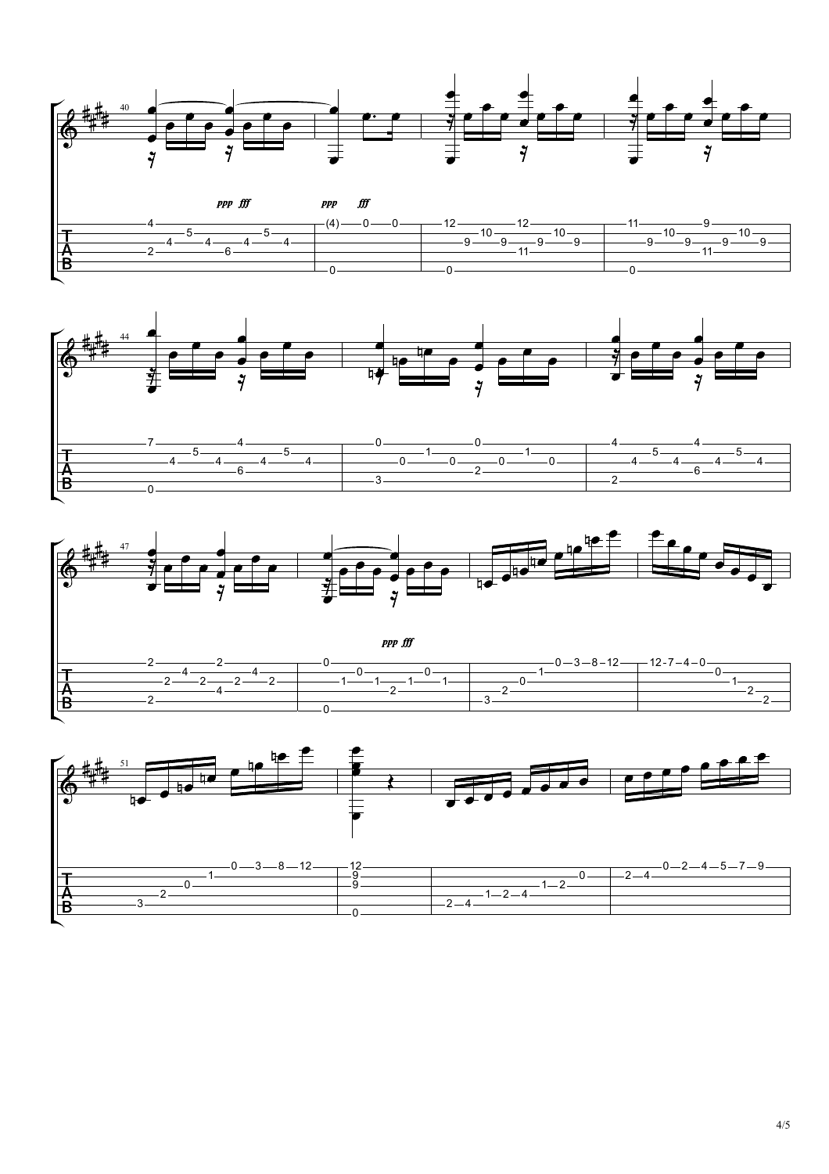